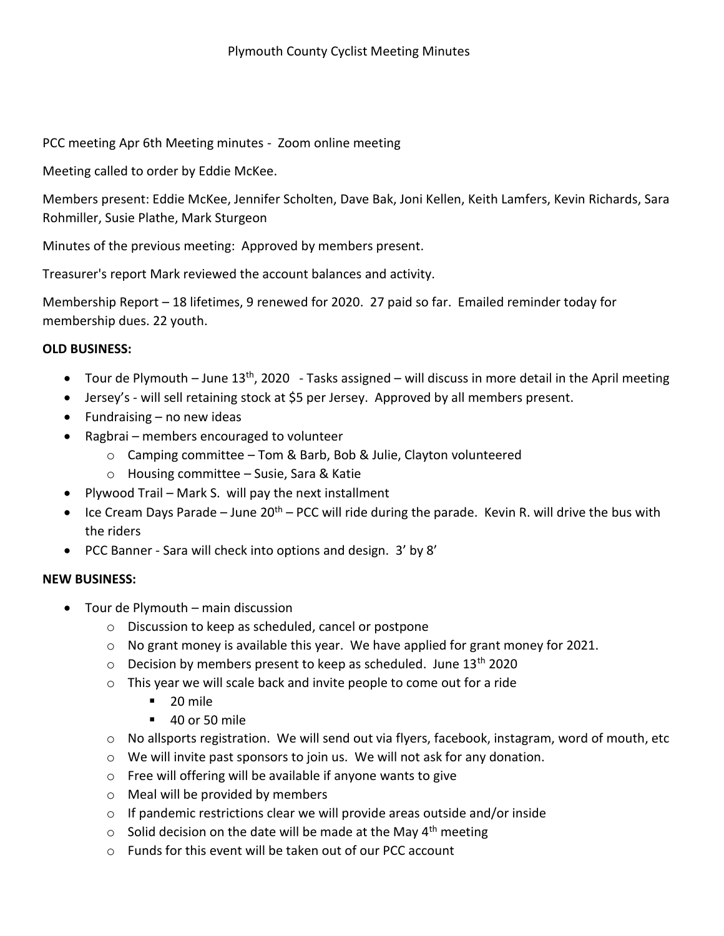PCC meeting Apr 6th Meeting minutes - Zoom online meeting

Meeting called to order by Eddie McKee.

Members present: Eddie McKee, Jennifer Scholten, Dave Bak, Joni Kellen, Keith Lamfers, Kevin Richards, Sara Rohmiller, Susie Plathe, Mark Sturgeon

Minutes of the previous meeting: Approved by members present.

Treasurer's report Mark reviewed the account balances and activity.

Membership Report – 18 lifetimes, 9 renewed for 2020. 27 paid so far. Emailed reminder today for membership dues. 22 youth.

## **OLD BUSINESS:**

- Tour de Plymouth June 13<sup>th</sup>, 2020 Tasks assigned will discuss in more detail in the April meeting
- Jersey's will sell retaining stock at \$5 per Jersey. Approved by all members present.
- $\bullet$  Fundraising no new ideas
- Ragbrai members encouraged to volunteer
	- o Camping committee Tom & Barb, Bob & Julie, Clayton volunteered
	- o Housing committee Susie, Sara & Katie
- Plywood Trail Mark S. will pay the next installment
- $\bullet$  Ice Cream Days Parade June 20<sup>th</sup> PCC will ride during the parade. Kevin R. will drive the bus with the riders
- PCC Banner Sara will check into options and design. 3' by 8'

## **NEW BUSINESS:**

- Tour de Plymouth main discussion
	- o Discussion to keep as scheduled, cancel or postpone
	- $\circ$  No grant money is available this year. We have applied for grant money for 2021.
	- $\circ$  Decision by members present to keep as scheduled. June 13<sup>th</sup> 2020
	- o This year we will scale back and invite people to come out for a ride
		- $\blacksquare$  20 mile
		- $-40$  or 50 mile
	- $\circ$  No allsports registration. We will send out via flyers, facebook, instagram, word of mouth, etc
	- $\circ$  We will invite past sponsors to join us. We will not ask for any donation.
	- o Free will offering will be available if anyone wants to give
	- o Meal will be provided by members
	- o If pandemic restrictions clear we will provide areas outside and/or inside
	- $\circ$  Solid decision on the date will be made at the May 4<sup>th</sup> meeting
	- o Funds for this event will be taken out of our PCC account